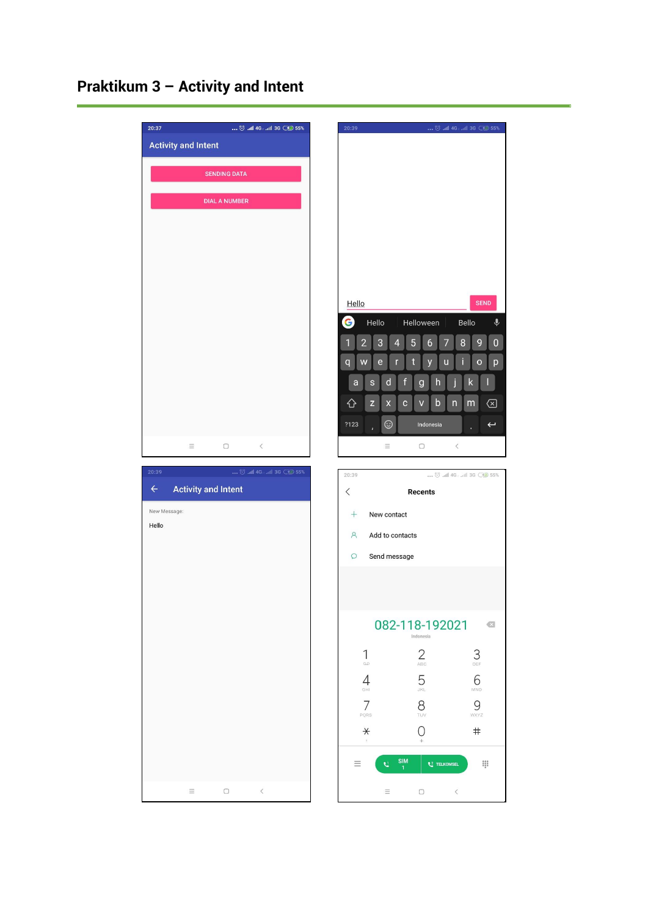# **Praktikum 3 – Activity and Intent**

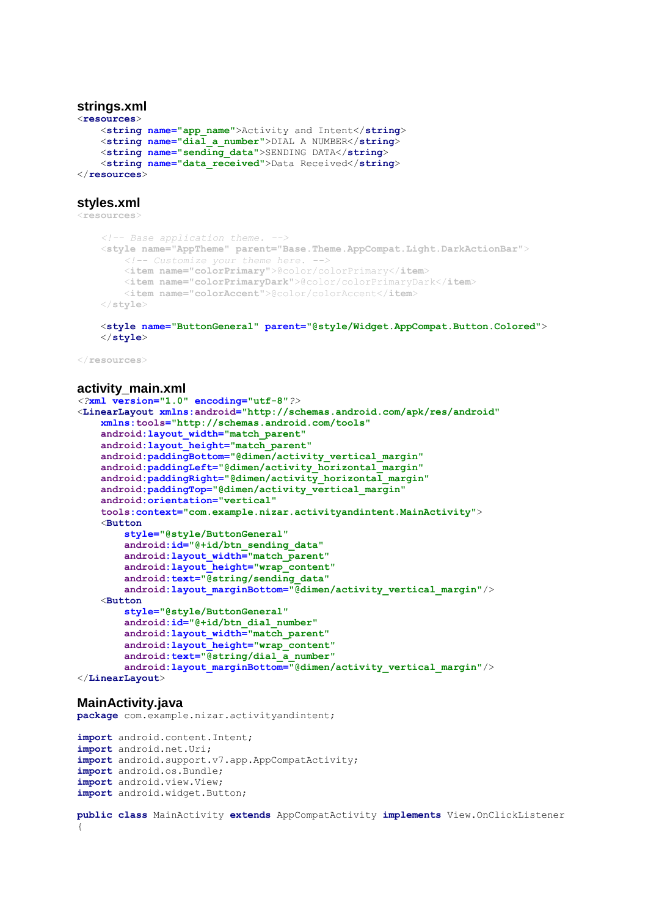### **strings.xml**

```
<resources>
     <string name="app_name">Activity and Intent</string>
     <string name="dial_a_number">DIAL A NUMBER</string>
     <string name="sending_data">SENDING DATA</string>
     <string name="data_received">Data Received</string>
</resources>
```
#### **styles.xml**

<**resources**>

```
 <!-- Base application theme. -->
 <style name="AppTheme" parent="Base.Theme.AppCompat.Light.DarkActionBar">
     <!-- Customize your theme here. -->
     <item name="colorPrimary">@color/colorPrimary</item>
     <item name="colorPrimaryDark">@color/colorPrimaryDark</item>
     <item name="colorAccent">@color/colorAccent</item>
 </style>
```
#### <**style name="ButtonGeneral" parent="@style/Widget.AppCompat.Button.Colored"**> </**style**>

</**resources**>

## **activity\_main.xml**

```
<?xml version="1.0" encoding="utf-8"?>
<LinearLayout xmlns:android="http://schemas.android.com/apk/res/android"
     xmlns:tools="http://schemas.android.com/tools"
     android:layout_width="match_parent"
     android:layout_height="match_parent"
     android:paddingBottom="@dimen/activity_vertical_margin"
     android:paddingLeft="@dimen/activity_horizontal_margin"
     android:paddingRight="@dimen/activity_horizontal_margin"
     android:paddingTop="@dimen/activity_vertical_margin"
     android:orientation="vertical"
     tools:context="com.example.nizar.activityandintent.MainActivity">
     <Button
         style="@style/ButtonGeneral"
         android:id="@+id/btn_sending_data"
         android:layout_width="match_parent"
         android:layout_height="wrap_content"
         android:text="@string/sending_data"
         android:layout_marginBottom="@dimen/activity_vertical_margin"/>
     <Button
         style="@style/ButtonGeneral"
         android:id="@+id/btn_dial_number"
         android:layout_width="match_parent"
         android:layout_height="wrap_content"
         android:text="@string/dial_a_number"
         android:layout_marginBottom="@dimen/activity_vertical_margin"/>
</LinearLayout>
```
#### **MainActivity.java**

**package** com.example.nizar.activityandintent;

```
import android.content.Intent;
import android.net.Uri;
import android.support.v7.app.AppCompatActivity;
import android.os.Bundle;
import android.view.View;
import android.widget.Button;
```

```
public class MainActivity extends AppCompatActivity implements View.OnClickListener 
{
```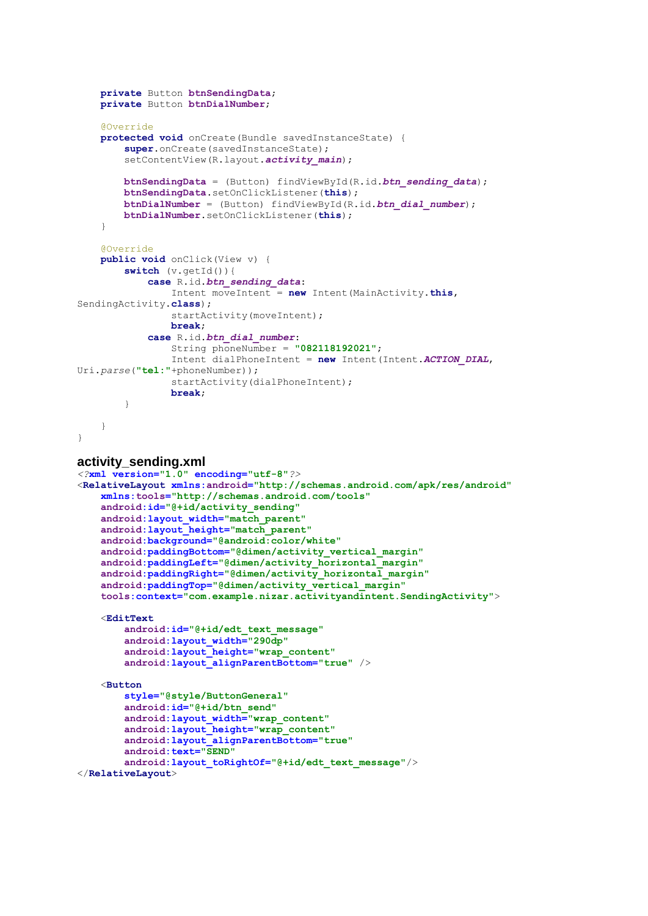```
 private Button btnSendingData;
     private Button btnDialNumber;
     @Override
     protected void onCreate(Bundle savedInstanceState) {
        super.onCreate(savedInstanceState);
         setContentView(R.layout.activity_main);
         btnSendingData = (Button) findViewById(R.id.btn_sending_data);
         btnSendingData.setOnClickListener(this);
         btnDialNumber = (Button) findViewById(R.id.btn_dial_number);
         btnDialNumber.setOnClickListener(this);
     }
     @Override
     public void onClick(View v) {
         switch (v.getId()){
             case R.id.btn_sending_data:
                 Intent moveIntent = new Intent(MainActivity.this, 
SendingActivity.class);
                startActivity(moveIntent);
                break;
             case R.id.btn_dial_number:
                 String phoneNumber = "082118192021";
                 Intent dialPhoneIntent = new Intent(Intent.ACTION_DIAL, 
Uri.parse("tel:"+phoneNumber));
                 startActivity(dialPhoneIntent);
                break;
         }
     }
}
activity_sending.xml
<?xml version="1.0" encoding="utf-8"?>
<RelativeLayout xmlns:android="http://schemas.android.com/apk/res/android"
     xmlns:tools="http://schemas.android.com/tools"
     android:id="@+id/activity_sending"
     android:layout_width="match_parent"
     android:layout_height="match_parent"
     android:background="@android:color/white"
     android:paddingBottom="@dimen/activity_vertical_margin"
     android:paddingLeft="@dimen/activity_horizontal_margin"
     android:paddingRight="@dimen/activity_horizontal_margin"
     android:paddingTop="@dimen/activity_vertical_margin"
     tools:context="com.example.nizar.activityandintent.SendingActivity">
     <EditText
         android:id="@+id/edt_text_message"
         android:layout_width="290dp"
         android:layout_height="wrap_content"
         android:layout_alignParentBottom="true" />
     <Button
         style="@style/ButtonGeneral"
         android:id="@+id/btn_send"
         android:layout_width="wrap_content"
         android:layout_height="wrap_content"
         android:layout_alignParentBottom="true"
         android:text="SEND"
         android:layout_toRightOf="@+id/edt_text_message"/>
```

```
</RelativeLayout>
```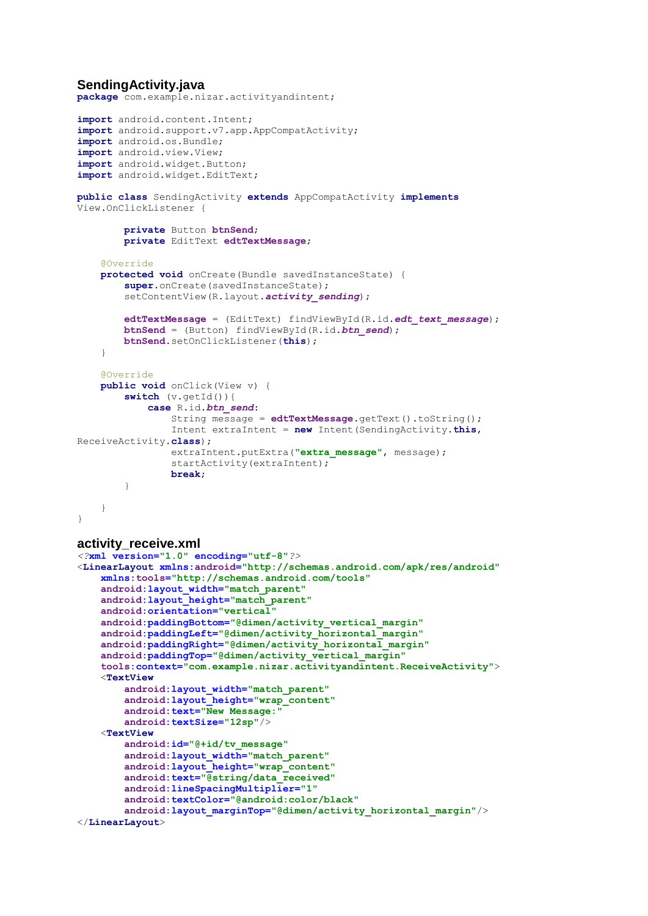# **SendingActivity.java**

**package** com.example.nizar.activityandintent;

```
import android.content.Intent;
import android.support.v7.app.AppCompatActivity;
import android.os.Bundle;
import android.view.View;
import android.widget.Button;
import android.widget.EditText;
public class SendingActivity extends AppCompatActivity implements 
View.OnClickListener {
         private Button btnSend;
         private EditText edtTextMessage;
     @Override
     protected void onCreate(Bundle savedInstanceState) {
         super.onCreate(savedInstanceState);
        setContentView(R.layout.activity_sending);
         edtTextMessage = (EditText) findViewById(R.id.edt_text_message);
         btnSend = (Button) findViewById(R.id.btn_send);
         btnSend.setOnClickListener(this);
     }
     @Override
     public void onClick(View v) {
         switch (v.getId()){
             case R.id.btn_send:
                 String message = edtTextMessage.getText().toString();
                 Intent extraIntent = new Intent(SendingActivity.this, 
ReceiveActivity.class);
                 extraIntent.putExtra("extra_message", message);
                 startActivity(extraIntent);
                break;
         }
     }
}
activity_receive.xml
<?xml version="1.0" encoding="utf-8"?>
<LinearLayout xmlns:android="http://schemas.android.com/apk/res/android"
     xmlns:tools="http://schemas.android.com/tools"
     android:layout_width="match_parent"
     android:layout_height="match_parent"
     android:orientation="vertical"
     android:paddingBottom="@dimen/activity_vertical_margin"
     android:paddingLeft="@dimen/activity_horizontal_margin"
     android:paddingRight="@dimen/activity_horizontal_margin"
     android:paddingTop="@dimen/activity_vertical_margin"
     tools:context="com.example.nizar.activityandintent.ReceiveActivity">
     <TextView
         android:layout_width="match_parent"
         android:layout_height="wrap_content"
         android:text="New Message:"
         android:textSize="12sp"/>
     <TextView
         android:id="@+id/tv_message"
         android:layout_width="match_parent"
         android:layout_height="wrap_content"
         android:text="@string/data_received"
         android:lineSpacingMultiplier="1"
         android:textColor="@android:color/black"
         android:layout_marginTop="@dimen/activity_horizontal_margin"/>
```

```
</LinearLayout>
```